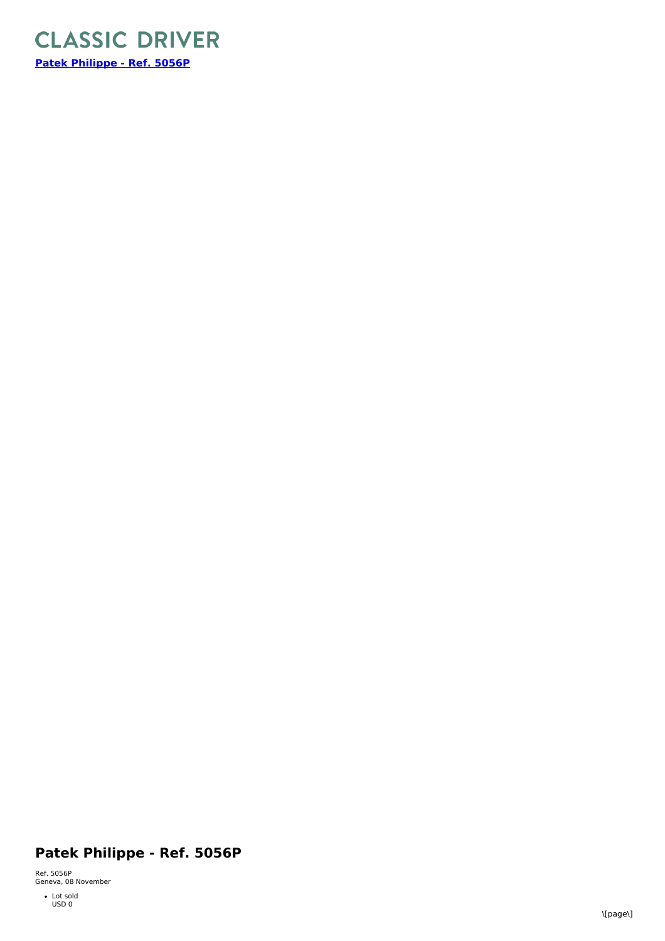

## **Patek Philippe - Ref. 5056P**

Ref. 5056P<br>Geneva, 08 November

Lot sold USD 0